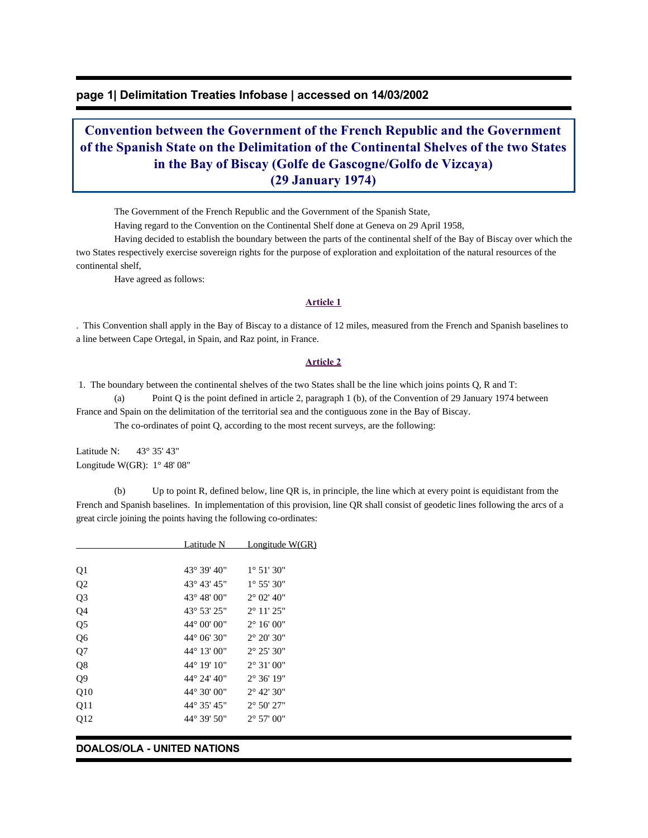# **page 1| Delimitation Treaties Infobase | accessed on 14/03/2002**

# **Convention between the Government of the French Republic and the Government of the Spanish State on the Delimitation of the Continental Shelves of the two States in the Bay of Biscay (Golfe de Gascogne/Golfo de Vizcaya) (29 January 1974)**

The Government of the French Republic and the Government of the Spanish State,

Having regard to the Convention on the Continental Shelf done at Geneva on 29 April 1958,

 Having decided to establish the boundary between the parts of the continental shelf of the Bay of Biscay over which the two States respectively exercise sovereign rights for the purpose of exploration and exploitation of the natural resources of the continental shelf,

Have agreed as follows:

#### **Article 1**

. This Convention shall apply in the Bay of Biscay to a distance of 12 miles, measured from the French and Spanish baselines to a line between Cape Ortegal, in Spain, and Raz point, in France.

#### **Article 2**

 1. The boundary between the continental shelves of the two States shall be the line which joins points Q, R and T: (a) Point Q is the point defined in article 2, paragraph 1 (b), of the Convention of 29 January 1974 between

France and Spain on the delimitation of the territorial sea and the contiguous zone in the Bay of Biscay.

The co-ordinates of point Q, according to the most recent surveys, are the following:

Latitude N: 43° 35' 43" Longitude W(GR): 1° 48' 08"

 (b) Up to point R, defined below, line QR is, in principle, the line which at every point is equidistant from the French and Spanish baselines. In implementation of this provision, line QR shall consist of geodetic lines following the arcs of a great circle joining the points having the following co-ordinates:

|                | Latitude N            | Longitude W(GR)              |
|----------------|-----------------------|------------------------------|
|                |                       |                              |
| Q1             | 43° 39' 40"           | $1^{\circ} 51' 30''$         |
| Q <sub>2</sub> | 43° 43' 45"           | $1^{\circ} 55' 30''$         |
| Q <sub>3</sub> | $43^{\circ} 48' 00''$ | $2^{\circ}$ 02' 40"          |
| Q4             | 43° 53' 25"           | $2^{\circ}$ 11' $25^{\circ}$ |
| Q <sub>5</sub> | $44^{\circ}$ 00' 00"  | $2^{\circ} 16' 00''$         |
| Q <sub>6</sub> | $44^{\circ}$ 06' 30"  | $2^{\circ} 20' 30''$         |
| Q7             | 44° 13' 00"           | $2^{\circ} 25' 30''$         |
| Q8             | 44° 19' 10"           | $2^{\circ} 31' 00''$         |
| Q <sub>9</sub> | 44° 24' 40"           | $2^{\circ} 36' 19''$         |
| Q10            | 44° 30' 00"           | $2^{\circ}$ 42' 30"          |
| Q11            | 44° 35' 45"           | $2^{\circ} 50' 27"$          |
| Q12            | 44° 39' 50"           | $2^{\circ}$ 57' 00"          |
|                |                       |                              |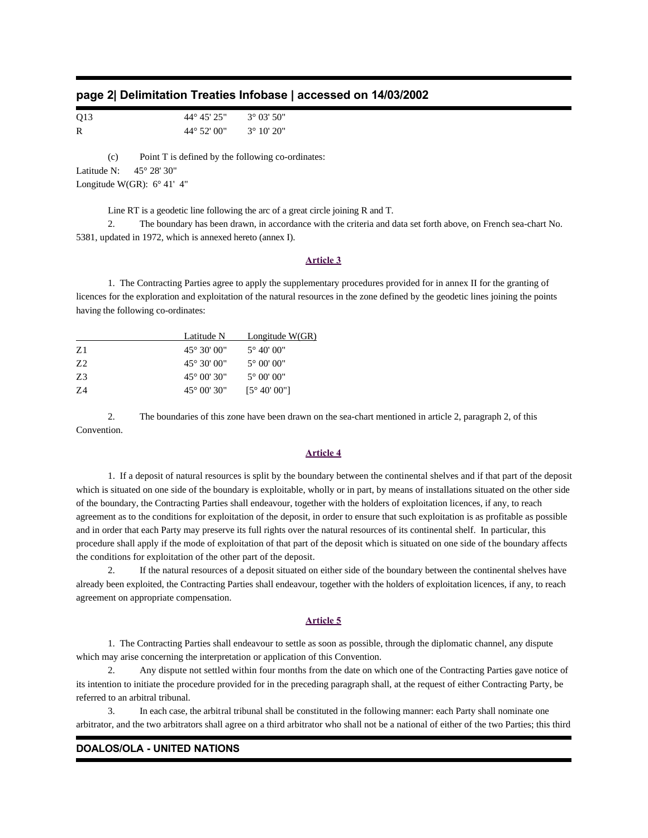|  | page 2  Delimitation Treaties Infobase   accessed on 14/03/2002 |  |  |
|--|-----------------------------------------------------------------|--|--|
|--|-----------------------------------------------------------------|--|--|

| Q13 | $44^{\circ} 45' 25''$ | $3^{\circ}$ 03' 50" |
|-----|-----------------------|---------------------|
| R   | $44^{\circ}$ 52' 00"  | $3^{\circ}$ 10' 20" |

 (c) Point T is defined by the following co-ordinates: Latitude N: 45° 28' 30" Longitude W(GR):  $6^{\circ}$  41' 4"

Line RT is a geodetic line following the arc of a great circle joining R and T.

 2. The boundary has been drawn, in accordance with the criteria and data set forth above, on French sea-chart No. 5381, updated in 1972, which is annexed hereto (annex I).

#### **Article 3**

 1. The Contracting Parties agree to apply the supplementary procedures provided for in annex II for the granting of licences for the exploration and exploitation of the natural resources in the zone defined by the geodetic lines joining the points having the following co-ordinates:

|                | Latitude N            | Longitude $W(GR)$      |
|----------------|-----------------------|------------------------|
| Z1             | $45^{\circ} 30' 00''$ | $5^{\circ}$ 40' 00"    |
| Z <sub>2</sub> | $45^{\circ} 30' 00''$ | $5^{\circ}$ 00' 00"    |
| Z3             | $45^{\circ}$ 00' 30"  | $5^{\circ}$ 00' 00"    |
| 7.4            | $45^{\circ}$ 00' 30"  | $[5^{\circ} 40' 00'']$ |

 2. The boundaries of this zone have been drawn on the sea-chart mentioned in article 2, paragraph 2, of this Convention.

### **Article 4**

 1. If a deposit of natural resources is split by the boundary between the continental shelves and if that part of the deposit which is situated on one side of the boundary is exploitable, wholly or in part, by means of installations situated on the other side of the boundary, the Contracting Parties shall endeavour, together with the holders of exploitation licences, if any, to reach agreement as to the conditions for exploitation of the deposit, in order to ensure that such exploitation is as profitable as possible and in order that each Party may preserve its full rights over the natural resources of its continental shelf. In particular, this procedure shall apply if the mode of exploitation of that part of the deposit which is situated on one side of the boundary affects the conditions for exploitation of the other part of the deposit.

 2. If the natural resources of a deposit situated on either side of the boundary between the continental shelves have already been exploited, the Contracting Parties shall endeavour, together with the holders of exploitation licences, if any, to reach agreement on appropriate compensation.

#### **Article 5**

 1. The Contracting Parties shall endeavour to settle as soon as possible, through the diplomatic channel, any dispute which may arise concerning the interpretation or application of this Convention.

 2. Any dispute not settled within four months from the date on which one of the Contracting Parties gave notice of its intention to initiate the procedure provided for in the preceding paragraph shall, at the request of either Contracting Party, be referred to an arbitral tribunal.

 3. In each case, the arbitral tribunal shall be constituted in the following manner: each Party shall nominate one arbitrator, and the two arbitrators shall agree on a third arbitrator who shall not be a national of either of the two Parties; this third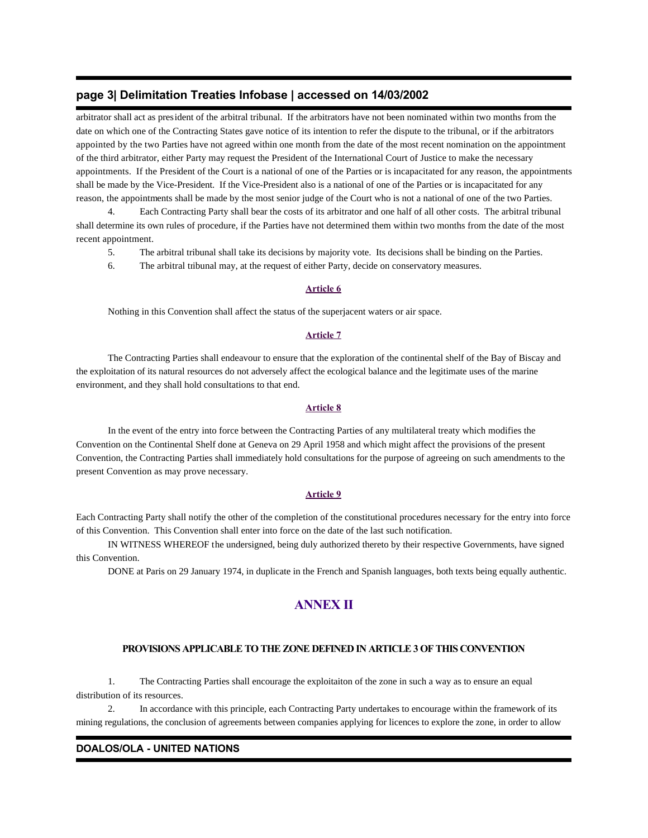# **page 3| Delimitation Treaties Infobase | accessed on 14/03/2002**

arbitrator shall act as president of the arbitral tribunal. If the arbitrators have not been nominated within two months from the date on which one of the Contracting States gave notice of its intention to refer the dispute to the tribunal, or if the arbitrators appointed by the two Parties have not agreed within one month from the date of the most recent nomination on the appointment of the third arbitrator, either Party may request the President of the International Court of Justice to make the necessary appointments. If the President of the Court is a national of one of the Parties or is incapacitated for any reason, the appointments shall be made by the Vice-President. If the Vice-President also is a national of one of the Parties or is incapacitated for any reason, the appointments shall be made by the most senior judge of the Court who is not a national of one of the two Parties.

 4. Each Contracting Party shall bear the costs of its arbitrator and one half of all other costs. The arbitral tribunal shall determine its own rules of procedure, if the Parties have not determined them within two months from the date of the most recent appointment.

- 5. The arbitral tribunal shall take its decisions by majority vote. Its decisions shall be binding on the Parties.
- 6. The arbitral tribunal may, at the request of either Party, decide on conservatory measures.

#### **Article 6**

Nothing in this Convention shall affect the status of the superjacent waters or air space.

#### **Article 7**

 The Contracting Parties shall endeavour to ensure that the exploration of the continental shelf of the Bay of Biscay and the exploitation of its natural resources do not adversely affect the ecological balance and the legitimate uses of the marine environment, and they shall hold consultations to that end.

#### **Article 8**

 In the event of the entry into force between the Contracting Parties of any multilateral treaty which modifies the Convention on the Continental Shelf done at Geneva on 29 April 1958 and which might affect the provisions of the present Convention, the Contracting Parties shall immediately hold consultations for the purpose of agreeing on such amendments to the present Convention as may prove necessary.

#### **Article 9**

Each Contracting Party shall notify the other of the completion of the constitutional procedures necessary for the entry into force of this Convention. This Convention shall enter into force on the date of the last such notification.

 IN WITNESS WHEREOF the undersigned, being duly authorized thereto by their respective Governments, have signed this Convention.

DONE at Paris on 29 January 1974, in duplicate in the French and Spanish languages, both texts being equally authentic.

# **ANNEX II**

### **PROVISIONS APPLICABLE TO THE ZONE DEFINED IN ARTICLE 3 OF THIS CONVENTION**

 1. The Contracting Parties shall encourage the exploitaiton of the zone in such a way as to ensure an equal distribution of its resources.

 2. In accordance with this principle, each Contracting Party undertakes to encourage within the framework of its mining regulations, the conclusion of agreements between companies applying for licences to explore the zone, in order to allow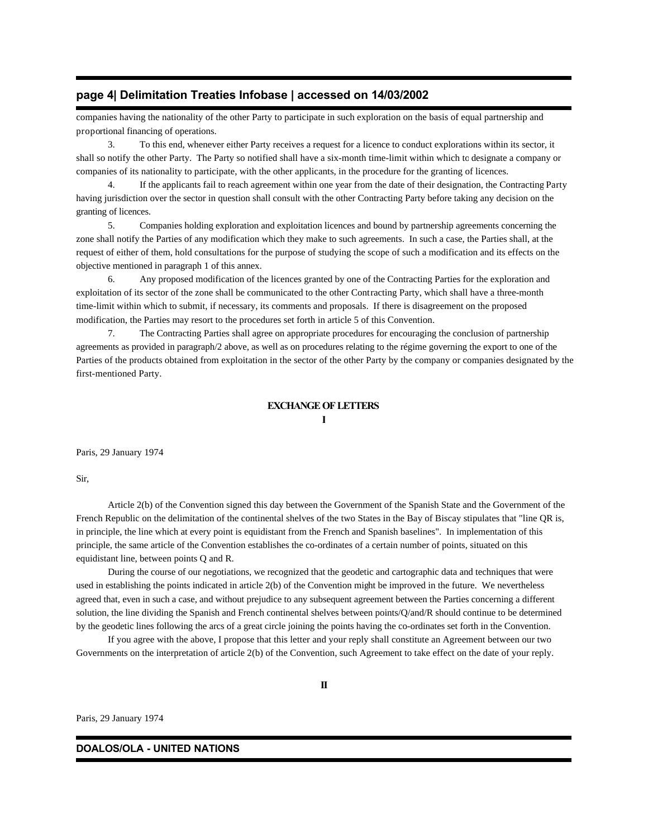# **page 4| Delimitation Treaties Infobase | accessed on 14/03/2002**

companies having the nationality of the other Party to participate in such exploration on the basis of equal partnership and proportional financing of operations.

 3. To this end, whenever either Party receives a request for a licence to conduct explorations within its sector, it shall so notify the other Party. The Party so notified shall have a six-month time-limit within which to designate a company or companies of its nationality to participate, with the other applicants, in the procedure for the granting of licences.

 4. If the applicants fail to reach agreement within one year from the date of their designation, the Contracting Party having jurisdiction over the sector in question shall consult with the other Contracting Party before taking any decision on the granting of licences.

 5. Companies holding exploration and exploitation licences and bound by partnership agreements concerning the zone shall notify the Parties of any modification which they make to such agreements. In such a case, the Parties shall, at the request of either of them, hold consultations for the purpose of studying the scope of such a modification and its effects on the objective mentioned in paragraph 1 of this annex.

 6. Any proposed modification of the licences granted by one of the Contracting Parties for the exploration and exploitation of its sector of the zone shall be communicated to the other Contracting Party, which shall have a three-month time-limit within which to submit, if necessary, its comments and proposals. If there is disagreement on the proposed modification, the Parties may resort to the procedures set forth in article 5 of this Convention.

 7. The Contracting Parties shall agree on appropriate procedures for encouraging the conclusion of partnership agreements as provided in paragraph/2 above, as well as on procedures relating to the régime governing the export to one of the Parties of the products obtained from exploitation in the sector of the other Party by the company or companies designated by the first-mentioned Party.

#### **EXCHANGE OF LETTERS**

#### **I**

Paris, 29 January 1974

Sir,

 Article 2(b) of the Convention signed this day between the Government of the Spanish State and the Government of the French Republic on the delimitation of the continental shelves of the two States in the Bay of Biscay stipulates that "line QR is, in principle, the line which at every point is equidistant from the French and Spanish baselines". In implementation of this principle, the same article of the Convention establishes the co-ordinates of a certain number of points, situated on this equidistant line, between points Q and R.

 During the course of our negotiations, we recognized that the geodetic and cartographic data and techniques that were used in establishing the points indicated in article 2(b) of the Convention might be improved in the future. We nevertheless agreed that, even in such a case, and without prejudice to any subsequent agreement between the Parties concerning a different solution, the line dividing the Spanish and French continental shelves between points/Q/and/R should continue to be determined by the geodetic lines following the arcs of a great circle joining the points having the co-ordinates set forth in the Convention.

 If you agree with the above, I propose that this letter and your reply shall constitute an Agreement between our two Governments on the interpretation of article 2(b) of the Convention, such Agreement to take effect on the date of your reply.

Paris, 29 January 1974